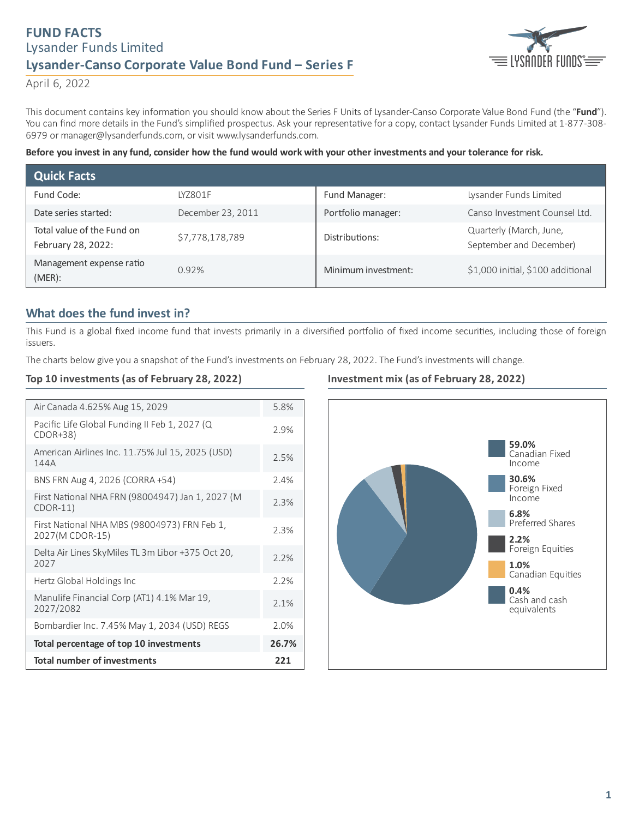# **FUND FACTS** Lysander Funds Limited **Lysander-Canso Corporate Value Bond Fund ‒ Series F**



April 6, 2022

This document contains key information you should know about the Series F Units of Lysander-Canso Corporate Value Bond Fund (the "Fund"). You can find more details in the Fund's simplified prospectus. Ask your representative for a copy, contact Lysander Funds Limited at 1-877-308-6979 or manager@lysanderfunds.com, or visit www.lysanderfunds.com.

#### Before you invest in any fund, consider how the fund would work with your other investments and your tolerance for risk.

| <b>Quick Facts</b>                               |                   |                     |                                                    |
|--------------------------------------------------|-------------------|---------------------|----------------------------------------------------|
| Fund Code:                                       | IY7801F           | Fund Manager:       | Lysander Funds Limited                             |
| Date series started:                             | December 23, 2011 | Portfolio manager:  | Canso Investment Counsel Ltd.                      |
| Total value of the Fund on<br>February 28, 2022: | \$7,778,178,789   | Distributions:      | Quarterly (March, June,<br>September and December) |
| Management expense ratio<br>$(MER)$ :            | 0.92%             | Minimum investment: | \$1,000 initial, \$100 additional                  |

## **What does the fund invest in?**

This Fund is a global fixed income fund that invests primarily in a diversified portfolio of fixed income securities, including those of foreign issuers.

The charts below give you a snapshot of the Fund's investments on February 28, 2022. The Fund's investments will change.

### **Top 10 investments (as of February 28, 2022)**

| Air Canada 4.625% Aug 15, 2029                                  | 5.8%  |
|-----------------------------------------------------------------|-------|
| Pacific Life Global Funding II Feb 1, 2027 (Q<br>$CDOR+38$      | 2.9%  |
| American Airlines Inc. 11.75% Jul 15, 2025 (USD)<br>144A        | 2.5%  |
| BNS FRN Aug 4, 2026 (CORRA +54)                                 | 2.4%  |
| First National NHA FRN (98004947) Jan 1, 2027 (M<br>$CDOR-11)$  | 2.3%  |
| First National NHA MBS (98004973) FRN Feb 1,<br>2027(M CDOR-15) | 2.3%  |
| Delta Air Lines SkyMiles TL 3m Libor +375 Oct 20,<br>2027       | 2.2%  |
| Hertz Global Holdings Inc                                       | 2.2%  |
| Manulife Financial Corp (AT1) 4.1% Mar 19,<br>2027/2082         | 2.1%  |
| Bombardier Inc. 7.45% May 1, 2034 (USD) REGS                    | 2.0%  |
| Total percentage of top 10 investments                          | 26.7% |
| <b>Total number of investments</b>                              | 221   |

### **Investment mix (as of February 28, 2022)**

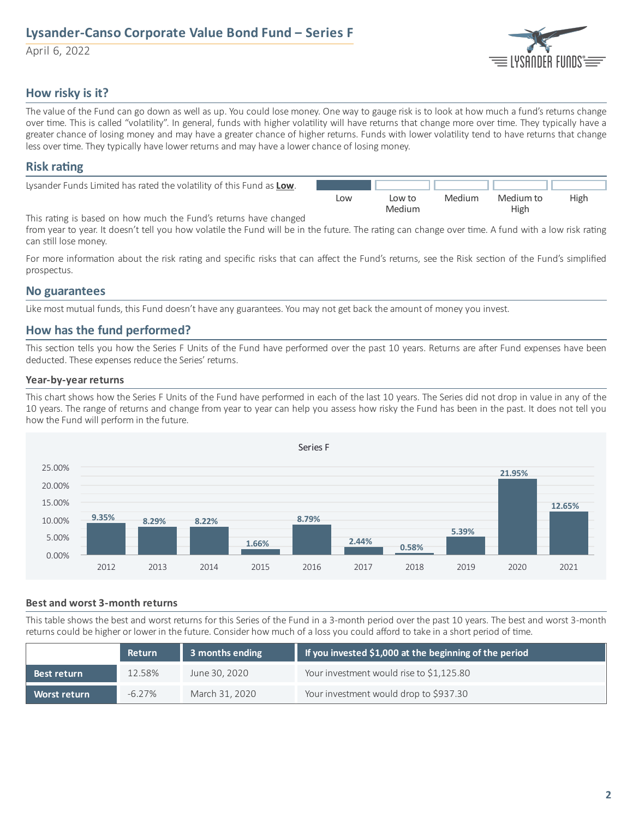# **Lysander-Canso Corporate Value Bond Fund ‒ Series F**

April 6, 2022



## **How risky is it?**

The value of the Fund can go down as well as up. You could lose money. One way to gauge risk is to look at how much a fund's returns change over time. This is called "volatility". In general, funds with higher volatility will have returns that change more over time. They typically have a greater chance of losing money and may have a greater chance of higher returns. Funds with lower volatility tend to have returns that change less over time. They typically have lower returns and may have a lower chance of losing money.

## **Risk** rating

| Lysander Funds Limited has rated the volatility of this Fund as Low. |     |        |        |           |      |
|----------------------------------------------------------------------|-----|--------|--------|-----------|------|
|                                                                      | Low | Low to | Medium | Medium to | High |
|                                                                      |     | Medium |        | High      |      |

This rating is based on how much the Fund's returns have changed

from year to year. It doesn't tell you how volatile the Fund will be in the future. The rating can change over time. A fund with a low risk rating can still lose money.

For more information about the risk rating and specific risks that can affect the Fund's returns, see the Risk section of the Fund's simplified prospectus.

### **No guarantees**

Like most mutual funds, this Fund doesn't have any guarantees. You may not get back the amount of money you invest.

## **How has the fund performed?**

This section tells you how the Series F Units of the Fund have performed over the past 10 years. Returns are after Fund expenses have been deducted. These expenses reduce the Series' returns.

#### **Year-by-year returns**

This chart shows how the Series F Units of the Fund have performed in each of the last 10 years. The Series did not drop in value in any of the 10 years. The range of returns and change from year to year can help you assess how risky the Fund has been in the past. It does not tell you how the Fund will perform in the future.



#### **Best and worst 3-month returns**

This table shows the best and worst returns for this Series of the Fund in a 3-month period over the past 10 years. The best and worst 3-month returns could be higher or lower in the future. Consider how much of a loss you could afford to take in a short period of time.

|              | <b>Return</b> | 3 months ending | If you invested \$1,000 at the beginning of the period |
|--------------|---------------|-----------------|--------------------------------------------------------|
| Best return  | 12.58%        | June 30, 2020   | Your investment would rise to \$1,125.80               |
| Worst return | $-6.27\%$     | March 31, 2020  | Your investment would drop to \$937.30                 |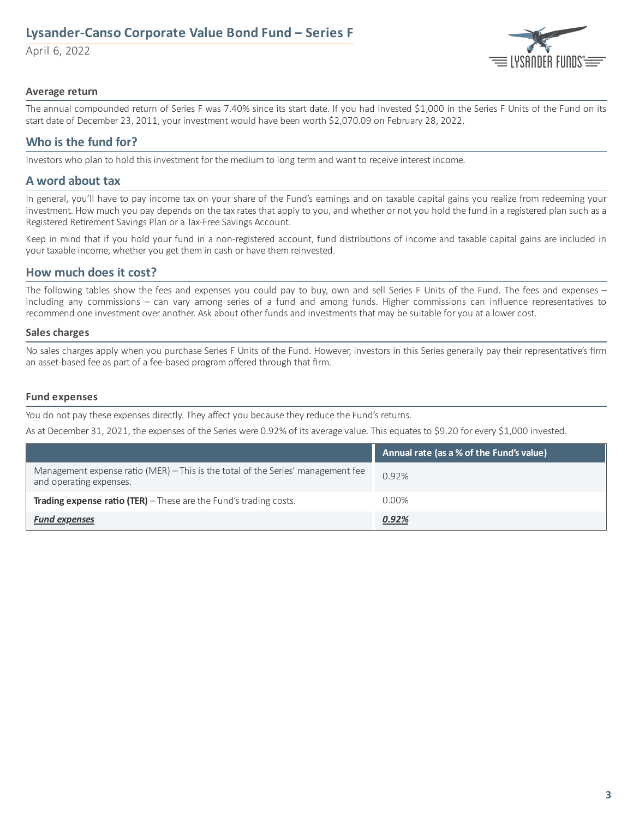# **Lysander-Canso Corporate Value Bond Fund ‒ Series F**

April 6, 2022



#### **Average return**

The annual compounded return of Series F was 7.40% since its start date. If you had invested \$1,000 in the Series F Units of the Fund on its start date of December 23, 2011, your investment would have been worth \$2,070.09 on February 28, 2022.

## **Who is the fund for?**

Investors who plan to hold this investment for the medium to long term and want to receive interest income.

### **A word about tax**

In general, you'll have to pay income tax on your share of the Fund's earnings and on taxable capital gains you realize from redeeming your investment. How much you pay depends on the tax rates that apply to you, and whether or not you hold the fund in a registered plan such as a Registered Retirement Savings Plan or a Tax-Free Savings Account.

Keep in mind that if you hold your fund in a non-registered account, fund distributions of income and taxable capital gains are included in your taxable income, whether you get them in cash or have them reinvested.

## **How much does it cost?**

The following tables show the fees and expenses you could pay to buy, own and sell Series F Units of the Fund. The fees and expenses – including any commissions – can vary among series of a fund and among funds. Higher commissions can influence representatives to recommend one investment over another. Ask about other funds and investments that may be suitable for you at a lower cost.

#### **Sales charges**

No sales charges apply when you purchase Series F Units of the Fund. However, investors in this Series generally pay their representative's firm an asset-based fee as part of a fee-based program offered through that firm.

#### **Fund expenses**

You do not pay these expenses directly. They affect you because they reduce the Fund's returns.

As at December 31, 2021, the expenses of the Series were 0.92% of its average value. This equates to \$9.20 for every \$1,000 invested.

|                                                                                                             | Annual rate (as a % of the Fund's value) |
|-------------------------------------------------------------------------------------------------------------|------------------------------------------|
| Management expense ratio (MER) – This is the total of the Series' management fee<br>and operating expenses. | 0.92%                                    |
| <b>Trading expense ratio (TER)</b> $-$ These are the Fund's trading costs.                                  | $0.00\%$                                 |
| <b>Fund expenses</b>                                                                                        | 0.92%                                    |